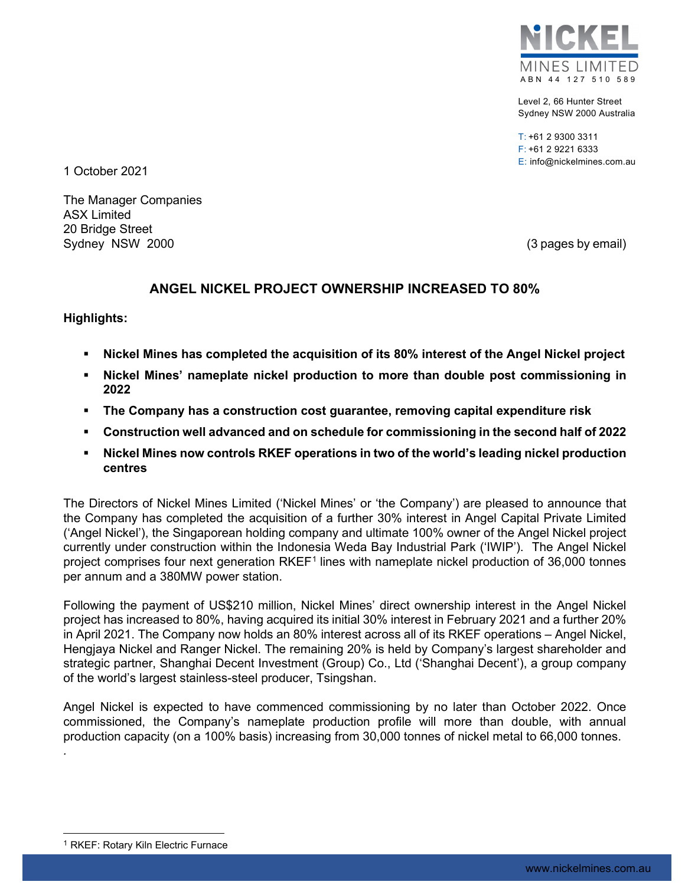

Level 2, 66 Hunter Street Sydney NSW 2000 Australia

T: +61 2 9300 3311 F: +61 2 9221 6333 E: info@nickelmines.com.au

1 October 2021

The Manager Companies ASX Limited 20 Bridge Street Sydney NSW 2000 (3 pages by email)

# **ANGEL NICKEL PROJECT OWNERSHIP INCREASED TO 80%**

## **Highlights:**

- **Nickel Mines has completed the acquisition of its 80% interest of the Angel Nickel project**
- **Nickel Mines' nameplate nickel production to more than double post commissioning in 2022**
- **The Company has a construction cost guarantee, removing capital expenditure risk**
- **Construction well advanced and on schedule for commissioning in the second half of 2022**
- **Nickel Mines now controls RKEF operations in two of the world's leading nickel production centres**

The Directors of Nickel Mines Limited ('Nickel Mines' or 'the Company') are pleased to announce that the Company has completed the acquisition of a further 30% interest in Angel Capital Private Limited ('Angel Nickel'), the Singaporean holding company and ultimate 100% owner of the Angel Nickel project currently under construction within the Indonesia Weda Bay Industrial Park ('IWIP'). The Angel Nickel project comprises four next generation RKEF<sup>[1](#page-0-0)</sup> lines with nameplate nickel production of 36,000 tonnes per annum and a 380MW power station.

Following the payment of US\$210 million, Nickel Mines' direct ownership interest in the Angel Nickel project has increased to 80%, having acquired its initial 30% interest in February 2021 and a further 20% in April 2021. The Company now holds an 80% interest across all of its RKEF operations – Angel Nickel, Hengjaya Nickel and Ranger Nickel. The remaining 20% is held by Company's largest shareholder and strategic partner, Shanghai Decent Investment (Group) Co., Ltd ('Shanghai Decent'), a group company of the world's largest stainless-steel producer, Tsingshan.

Angel Nickel is expected to have commenced commissioning by no later than October 2022. Once commissioned, the Company's nameplate production profile will more than double, with annual production capacity (on a 100% basis) increasing from 30,000 tonnes of nickel metal to 66,000 tonnes.

*.*

<span id="page-0-0"></span><sup>&</sup>lt;sup>1</sup> RKEF: Rotary Kiln Electric Furnace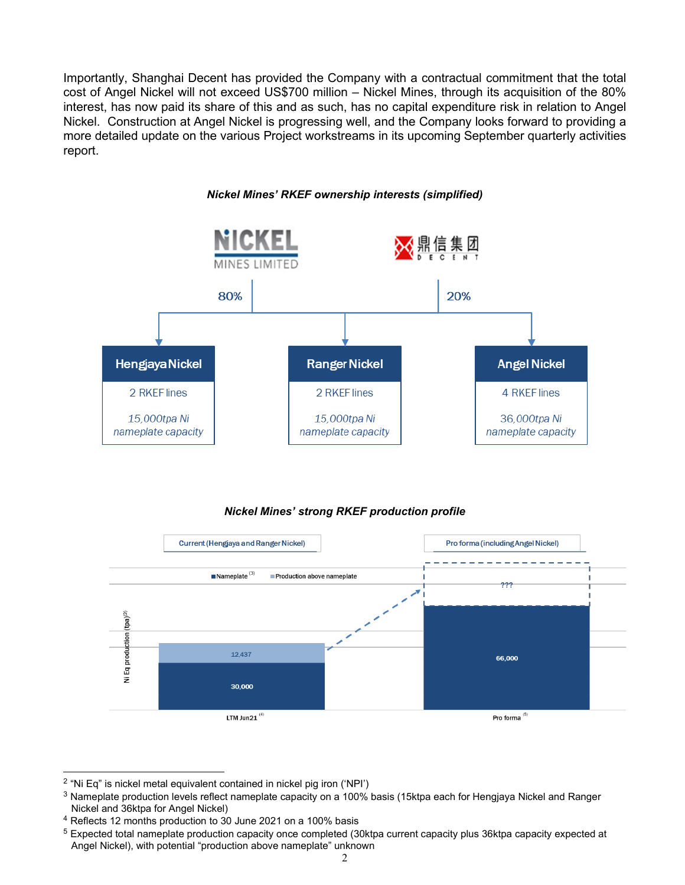Importantly, Shanghai Decent has provided the Company with a contractual commitment that the total cost of Angel Nickel will not exceed US\$700 million – Nickel Mines, through its acquisition of the 80% interest, has now paid its share of this and as such, has no capital expenditure risk in relation to Angel Nickel. Construction at Angel Nickel is progressing well, and the Company looks forward to providing a more detailed update on the various Project workstreams in its upcoming September quarterly activities report.



## *Nickel Mines' strong RKEF production profile*



<span id="page-1-0"></span><sup>2</sup> "Ni Eq" is nickel metal equivalent contained in nickel pig iron ('NPI')

<span id="page-1-1"></span><sup>&</sup>lt;sup>3</sup> Nameplate production levels reflect nameplate capacity on a 100% basis (15ktpa each for Hengjaya Nickel and Ranger Nickel and 36ktpa for Angel Nickel)

<span id="page-1-2"></span><sup>4</sup> Reflects 12 months production to 30 June 2021 on a 100% basis

<span id="page-1-3"></span><sup>5</sup> Expected total nameplate production capacity once completed (30ktpa current capacity plus 36ktpa capacity expected at Angel Nickel), with potential "production above nameplate" unknown